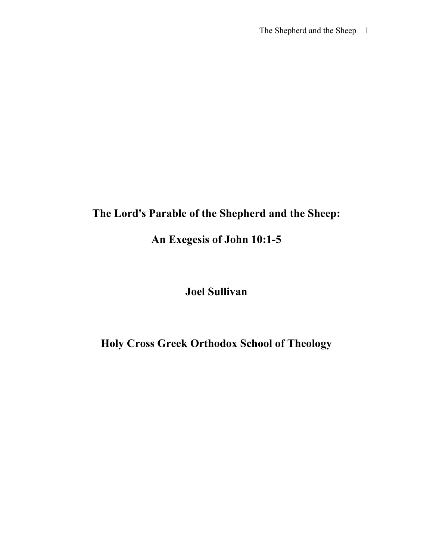# **The Lord's Parable of the Shepherd and the Sheep:**

# **An Exegesis of John 10:1-5**

## **Joel Sullivan**

## **Holy Cross Greek Orthodox School of Theology**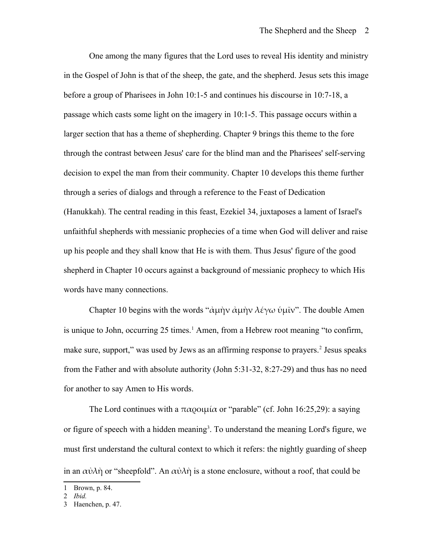One among the many figures that the Lord uses to reveal His identity and ministry in the Gospel of John is that of the sheep, the gate, and the shepherd. Jesus sets this image before a group of Pharisees in John 10:1-5 and continues his discourse in 10:7-18, a passage which casts some light on the imagery in 10:1-5. This passage occurs within a larger section that has a theme of shepherding. Chapter 9 brings this theme to the fore through the contrast between Jesus' care for the blind man and the Pharisees' self-serving decision to expel the man from their community. Chapter 10 develops this theme further through a series of dialogs and through a reference to the Feast of Dedication (Hanukkah). The central reading in this feast, Ezekiel 34, juxtaposes a lament of Israel's unfaithful shepherds with messianic prophecies of a time when God will deliver and raise up his people and they shall know that He is with them. Thus Jesus' figure of the good shepherd in Chapter 10 occurs against a background of messianic prophecy to which His words have many connections.

Chapter 10 begins with the words "άμὴν ἀμὴν λέγω ὑμῖν". The double Amen is unique to John, occurring  $25$  times.<sup>[1](#page-1-0)</sup> Amen, from a Hebrew root meaning "to confirm, make sure, support," was used by Jews as an affirming response to prayers.<sup>[2](#page-1-1)</sup> Jesus speaks from the Father and with absolute authority (John 5:31-32, 8:27-29) and thus has no need for another to say Amen to His words.

The Lord continues with a  $\pi \alpha$  polytrical or "parable" (cf. John 16:25,29): a saying or figure of speech with a hidden meaning<sup>[3](#page-1-2)</sup>. To understand the meaning Lord's figure, we must first understand the cultural context to which it refers: the nightly guarding of sheep in an  $\alpha \dot{\nu} \lambda \dot{\eta}$  or "sheepfold". An  $\alpha \dot{\nu} \lambda \dot{\eta}$  is a stone enclosure, without a roof, that could be

<span id="page-1-0"></span><sup>1</sup> Brown, p. 84.

<span id="page-1-1"></span><sup>2</sup> *Ibid.*

<span id="page-1-2"></span><sup>3</sup> Haenchen, p. 47.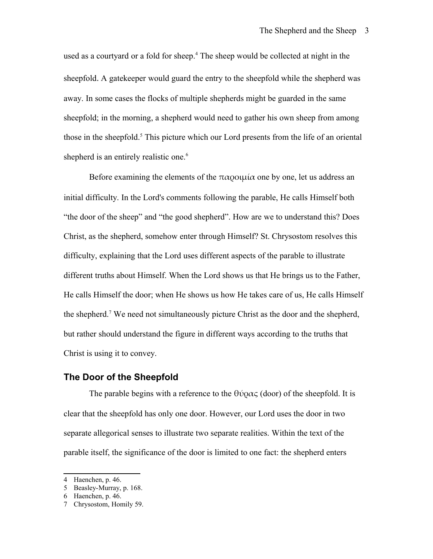used as a courtyard or a fold for sheep.<sup>[4](#page-2-0)</sup> The sheep would be collected at night in the sheepfold. A gatekeeper would guard the entry to the sheepfold while the shepherd was away. In some cases the flocks of multiple shepherds might be guarded in the same sheepfold; in the morning, a shepherd would need to gather his own sheep from among those in the sheepfold.<sup>[5](#page-2-1)</sup> This picture which our Lord presents from the life of an oriental shepherd is an entirely realistic one.<sup>[6](#page-2-2)</sup>

Before examining the elements of the  $\pi \alpha$  ould  $\alpha$  one by one, let us address an initial difficulty. In the Lord's comments following the parable, He calls Himself both "the door of the sheep" and "the good shepherd". How are we to understand this? Does Christ, as the shepherd, somehow enter through Himself? St. Chrysostom resolves this difficulty, explaining that the Lord uses different aspects of the parable to illustrate different truths about Himself. When the Lord shows us that He brings us to the Father, He calls Himself the door; when He shows us how He takes care of us, He calls Himself the shepherd.<sup>[7](#page-2-3)</sup> We need not simultaneously picture Christ as the door and the shepherd, but rather should understand the figure in different ways according to the truths that Christ is using it to convey.

### **The Door of the Sheepfold**

The parable begins with a reference to the  $\theta\acute{\nu}\rho\alpha\varsigma$  (door) of the sheepfold. It is clear that the sheepfold has only one door. However, our Lord uses the door in two separate allegorical senses to illustrate two separate realities. Within the text of the parable itself, the significance of the door is limited to one fact: the shepherd enters

<span id="page-2-0"></span><sup>4</sup> Haenchen, p. 46.

<span id="page-2-1"></span><sup>5</sup> Beasley-Murray, p. 168.

<span id="page-2-2"></span><sup>6</sup> Haenchen, p. 46.

<span id="page-2-3"></span><sup>7</sup> Chrysostom, Homily 59.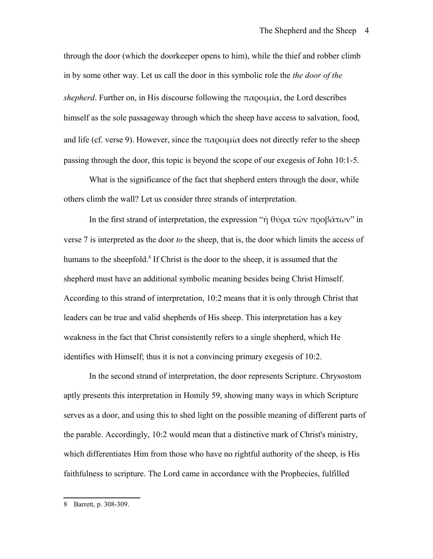through the door (which the doorkeeper opens to him), while the thief and robber climb in by some other way. Let us call the door in this symbolic role the *the door of the shepherd*. Further on, in His discourse following the  $\pi \alpha$  polucia, the Lord describes himself as the sole passageway through which the sheep have access to salvation, food, and life (cf. verse 9). However, since the  $\pi \alpha$  polymetric does not directly refer to the sheep passing through the door, this topic is beyond the scope of our exegesis of John 10:1-5.

What is the significance of the fact that shepherd enters through the door, while others climb the wall? Let us consider three strands of interpretation.

In the first strand of interpretation, the expression "ή θύρα τῶν προβάτων" in verse 7 is interpreted as the door *to* the sheep, that is, the door which limits the access of humans to the sheepfold.<sup>[8](#page-3-0)</sup> If Christ is the door to the sheep, it is assumed that the shepherd must have an additional symbolic meaning besides being Christ Himself. According to this strand of interpretation, 10:2 means that it is only through Christ that leaders can be true and valid shepherds of His sheep. This interpretation has a key weakness in the fact that Christ consistently refers to a single shepherd, which He identifies with Himself; thus it is not a convincing primary exegesis of 10:2.

In the second strand of interpretation, the door represents Scripture. Chrysostom aptly presents this interpretation in Homily 59, showing many ways in which Scripture serves as a door, and using this to shed light on the possible meaning of different parts of the parable. Accordingly, 10:2 would mean that a distinctive mark of Christ's ministry, which differentiates Him from those who have no rightful authority of the sheep, is His faithfulness to scripture. The Lord came in accordance with the Prophecies, fulfilled

<span id="page-3-0"></span><sup>8</sup> Barrett, p. 308-309.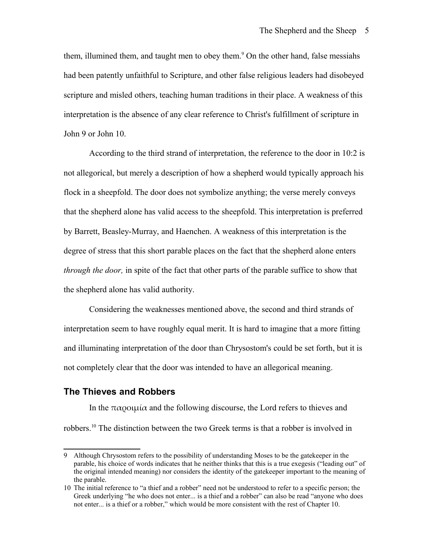them, illumined them, and taught men to obey them.<sup>[9](#page-4-0)</sup> On the other hand, false messiahs had been patently unfaithful to Scripture, and other false religious leaders had disobeyed scripture and misled others, teaching human traditions in their place. A weakness of this interpretation is the absence of any clear reference to Christ's fulfillment of scripture in John 9 or John 10.

According to the third strand of interpretation, the reference to the door in 10:2 is not allegorical, but merely a description of how a shepherd would typically approach his flock in a sheepfold. The door does not symbolize anything; the verse merely conveys that the shepherd alone has valid access to the sheepfold. This interpretation is preferred by Barrett, Beasley-Murray, and Haenchen. A weakness of this interpretation is the degree of stress that this short parable places on the fact that the shepherd alone enters *through the door,* in spite of the fact that other parts of the parable suffice to show that the shepherd alone has valid authority.

Considering the weaknesses mentioned above, the second and third strands of interpretation seem to have roughly equal merit. It is hard to imagine that a more fitting and illuminating interpretation of the door than Chrysostom's could be set forth, but it is not completely clear that the door was intended to have an allegorical meaning.

### **The Thieves and Robbers**

In the  $\pi\alpha$  political and the following discourse, the Lord refers to thieves and robbers.[10](#page-4-1) The distinction between the two Greek terms is that a robber is involved in

<span id="page-4-0"></span><sup>9</sup> Although Chrysostom refers to the possibility of understanding Moses to be the gatekeeper in the parable, his choice of words indicates that he neither thinks that this is a true exegesis ("leading out" of the original intended meaning) nor considers the identity of the gatekeeper important to the meaning of the parable.

<span id="page-4-1"></span><sup>10</sup> The initial reference to "a thief and a robber" need not be understood to refer to a specific person; the Greek underlying "he who does not enter... is a thief and a robber" can also be read "anyone who does not enter... is a thief or a robber," which would be more consistent with the rest of Chapter 10.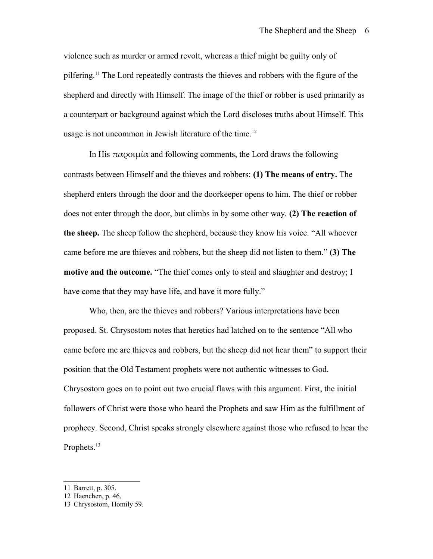violence such as murder or armed revolt, whereas a thief might be guilty only of pilfering.<sup>[11](#page-5-0)</sup> The Lord repeatedly contrasts the thieves and robbers with the figure of the shepherd and directly with Himself. The image of the thief or robber is used primarily as a counterpart or background against which the Lord discloses truths about Himself. This usage is not uncommon in Jewish literature of the time.<sup>[12](#page-5-1)</sup>

In His  $\pi \alpha$  political and following comments, the Lord draws the following contrasts between Himself and the thieves and robbers: **(1) The means of entry.** The shepherd enters through the door and the doorkeeper opens to him. The thief or robber does not enter through the door, but climbs in by some other way. **(2) The reaction of the sheep.** The sheep follow the shepherd, because they know his voice. "All whoever came before me are thieves and robbers, but the sheep did not listen to them." **(3) The motive and the outcome.** "The thief comes only to steal and slaughter and destroy; I have come that they may have life, and have it more fully."

Who, then, are the thieves and robbers? Various interpretations have been proposed. St. Chrysostom notes that heretics had latched on to the sentence "All who came before me are thieves and robbers, but the sheep did not hear them" to support their position that the Old Testament prophets were not authentic witnesses to God. Chrysostom goes on to point out two crucial flaws with this argument. First, the initial followers of Christ were those who heard the Prophets and saw Him as the fulfillment of prophecy. Second, Christ speaks strongly elsewhere against those who refused to hear the Prophets.<sup>[13](#page-5-2)</sup>

<span id="page-5-0"></span><sup>11</sup> Barrett, p. 305.

<span id="page-5-1"></span><sup>12</sup> Haenchen, p. 46.

<span id="page-5-2"></span><sup>13</sup> Chrysostom, Homily 59.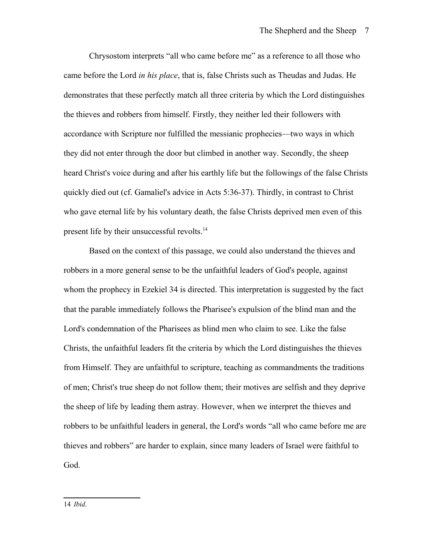Chrysostom interprets "all who came before me" as a reference to all those who came before the Lord *in his place*, that is, false Christs such as Theudas and Judas. He demonstrates that these perfectly match all three criteria by which the Lord distinguishes the thieves and robbers from himself. Firstly, they neither led their followers with accordance with Scripture nor fulfilled the messianic prophecies—two ways in which they did not enter through the door but climbed in another way. Secondly, the sheep heard Christ's voice during and after his earthly life but the followings of the false Christs quickly died out (cf. Gamaliel's advice in Acts 5:36-37). Thirdly, in contrast to Christ who gave eternal life by his voluntary death, the false Christs deprived men even of this present life by their unsuccessful revolts.<sup>[14](#page-6-0)</sup>

<span id="page-6-0"></span>Based on the context of this passage, we could also understand the thieves and robbers in a more general sense to be the unfaithful leaders of God's people, against whom the prophecy in Ezekiel 34 is directed. This interpretation is suggested by the fact that the parable immediately follows the Pharisee's expulsion of the blind man and the Lord's condemnation of the Pharisees as blind men who claim to see. Like the false Christs, the unfaithful leaders fit the criteria by which the Lord distinguishes the thieves from Himself. They are unfaithful to scripture, teaching as commandments the traditions of men; Christ's true sheep do not follow them; their motives are selfish and they deprive the sheep of life by leading them astray. However, when we interpret the thieves and robbers to be unfaithful leaders in general, the Lord's words "all who came before me are thieves and robbers" are harder to explain, since many leaders of Israel were faithful to God.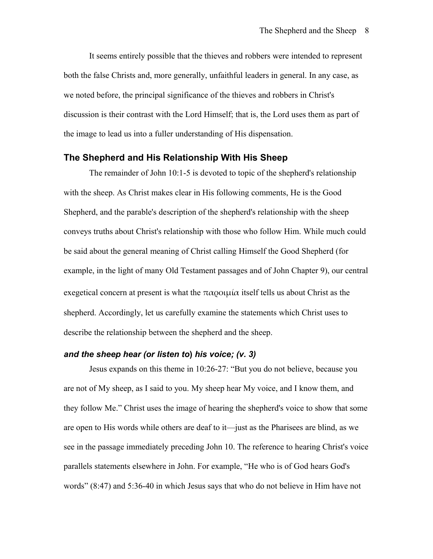It seems entirely possible that the thieves and robbers were intended to represent both the false Christs and, more generally, unfaithful leaders in general. In any case, as we noted before, the principal significance of the thieves and robbers in Christ's discussion is their contrast with the Lord Himself; that is, the Lord uses them as part of the image to lead us into a fuller understanding of His dispensation.

#### **The Shepherd and His Relationship With His Sheep**

The remainder of John 10:1-5 is devoted to topic of the shepherd's relationship with the sheep. As Christ makes clear in His following comments, He is the Good Shepherd, and the parable's description of the shepherd's relationship with the sheep conveys truths about Christ's relationship with those who follow Him. While much could be said about the general meaning of Christ calling Himself the Good Shepherd (for example, in the light of many Old Testament passages and of John Chapter 9), our central exegetical concern at present is what the  $\pi \alpha$  o  $\mu$  itself tells us about Christ as the shepherd. Accordingly, let us carefully examine the statements which Christ uses to describe the relationship between the shepherd and the sheep.

### *and the sheep hear (or listen to***)** *his voice; (v. 3)*

Jesus expands on this theme in 10:26-27: "But you do not believe, because you are not of My sheep, as I said to you. My sheep hear My voice, and I know them, and they follow Me." Christ uses the image of hearing the shepherd's voice to show that some are open to His words while others are deaf to it—just as the Pharisees are blind, as we see in the passage immediately preceding John 10. The reference to hearing Christ's voice parallels statements elsewhere in John. For example, "He who is of God hears God's words" (8:47) and 5:36-40 in which Jesus says that who do not believe in Him have not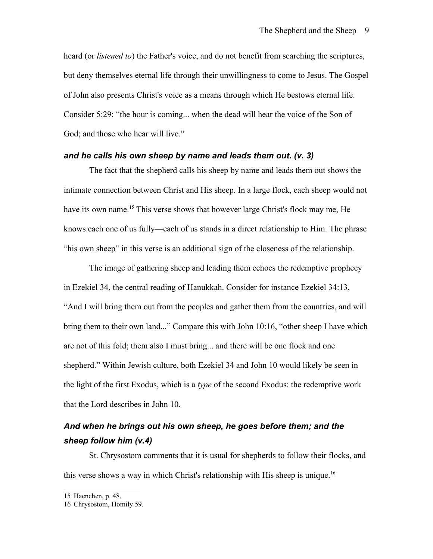heard (or *listened to*) the Father's voice, and do not benefit from searching the scriptures, but deny themselves eternal life through their unwillingness to come to Jesus. The Gospel of John also presents Christ's voice as a means through which He bestows eternal life. Consider 5:29: "the hour is coming... when the dead will hear the voice of the Son of God; and those who hear will live."

### *and he calls his own sheep by name and leads them out. (v. 3)*

The fact that the shepherd calls his sheep by name and leads them out shows the intimate connection between Christ and His sheep. In a large flock, each sheep would not have its own name.<sup>[15](#page-8-0)</sup> This verse shows that however large Christ's flock may me, He knows each one of us fully—each of us stands in a direct relationship to Him. The phrase "his own sheep" in this verse is an additional sign of the closeness of the relationship.

The image of gathering sheep and leading them echoes the redemptive prophecy in Ezekiel 34, the central reading of Hanukkah. Consider for instance Ezekiel 34:13, "And I will bring them out from the peoples and gather them from the countries, and will bring them to their own land..." Compare this with John 10:16, "other sheep I have which are not of this fold; them also I must bring... and there will be one flock and one shepherd." Within Jewish culture, both Ezekiel 34 and John 10 would likely be seen in the light of the first Exodus, which is a *type* of the second Exodus: the redemptive work that the Lord describes in John 10.

## *And when he brings out his own sheep, he goes before them; and the sheep follow him (v.4)*

St. Chrysostom comments that it is usual for shepherds to follow their flocks, and this verse shows a way in which Christ's relationship with His sheep is unique.<sup>[16](#page-8-1)</sup>

<span id="page-8-0"></span><sup>15</sup> Haenchen, p. 48.

<span id="page-8-1"></span><sup>16</sup> Chrysostom, Homily 59.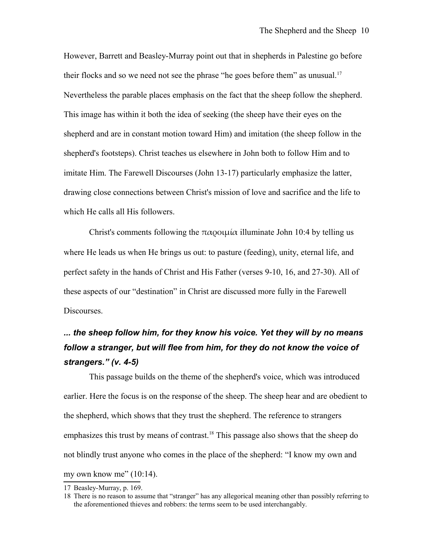However, Barrett and Beasley-Murray point out that in shepherds in Palestine go before their flocks and so we need not see the phrase "he goes before them" as unusual.<sup>[17](#page-9-0)</sup> Nevertheless the parable places emphasis on the fact that the sheep follow the shepherd. This image has within it both the idea of seeking (the sheep have their eyes on the shepherd and are in constant motion toward Him) and imitation (the sheep follow in the shepherd's footsteps). Christ teaches us elsewhere in John both to follow Him and to imitate Him. The Farewell Discourses (John 13-17) particularly emphasize the latter, drawing close connections between Christ's mission of love and sacrifice and the life to which He calls all His followers.

Christ's comments following the παροιμία illuminate John 10:4 by telling us where He leads us when He brings us out: to pasture (feeding), unity, eternal life, and perfect safety in the hands of Christ and His Father (verses 9-10, 16, and 27-30). All of these aspects of our "destination" in Christ are discussed more fully in the Farewell Discourses.

## *... the sheep follow him, for they know his voice. Yet they will by no means follow a stranger, but will flee from him, for they do not know the voice of strangers." (v. 4-5)*

This passage builds on the theme of the shepherd's voice, which was introduced earlier. Here the focus is on the response of the sheep. The sheep hear and are obedient to the shepherd, which shows that they trust the shepherd. The reference to strangers emphasizes this trust by means of contrast.<sup>[18](#page-9-1)</sup> This passage also shows that the sheep do not blindly trust anyone who comes in the place of the shepherd: "I know my own and my own know me"  $(10:14)$ .

<span id="page-9-0"></span><sup>17</sup> Beasley-Murray, p. 169.

<span id="page-9-1"></span><sup>18</sup> There is no reason to assume that "stranger" has any allegorical meaning other than possibly referring to the aforementioned thieves and robbers: the terms seem to be used interchangably.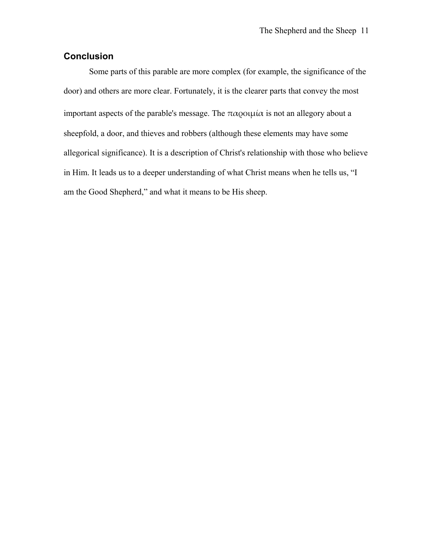### **Conclusion**

Some parts of this parable are more complex (for example, the significance of the door) and others are more clear. Fortunately, it is the clearer parts that convey the most important aspects of the parable's message. The παροιμία is not an allegory about a sheepfold, a door, and thieves and robbers (although these elements may have some allegorical significance). It is a description of Christ's relationship with those who believe in Him. It leads us to a deeper understanding of what Christ means when he tells us, "I am the Good Shepherd," and what it means to be His sheep.